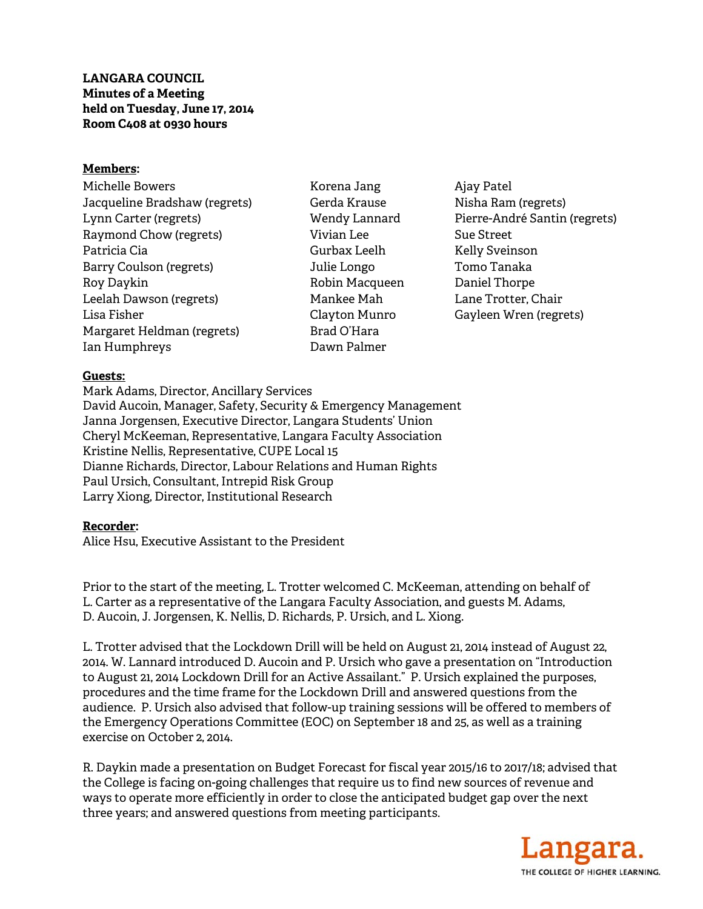**LANGARA COUNCIL Minutes of a Meeting held on Tuesday, June 17, 2014 Room C408 at 0930 hours** 

### **Members:**

- Michelle Bowers Jacqueline Bradshaw (regrets) Lynn Carter (regrets) Raymond Chow (regrets) Patricia Cia Barry Coulson (regrets) Roy Daykin Leelah Dawson (regrets) Lisa Fisher Margaret Heldman (regrets) Ian Humphreys
- Korena Jang Gerda Krause Wendy Lannard Vivian Lee Gurbax Leelh Julie Longo Robin Macqueen Mankee Mah Clayton Munro Brad O'Hara Dawn Palmer
- Ajay Patel Nisha Ram (regrets) Pierre-André Santin (regrets) Sue Street Kelly Sveinson Tomo Tanaka Daniel Thorpe Lane Trotter, Chair Gayleen Wren (regrets)

## **Guests:**

Mark Adams, Director, Ancillary Services David Aucoin, Manager, Safety, Security & Emergency Management Janna Jorgensen, Executive Director, Langara Students' Union Cheryl McKeeman, Representative, Langara Faculty Association Kristine Nellis, Representative, CUPE Local 15 Dianne Richards, Director, Labour Relations and Human Rights Paul Ursich, Consultant, Intrepid Risk Group Larry Xiong, Director, Institutional Research

#### **Recorder:**

Alice Hsu, Executive Assistant to the President

Prior to the start of the meeting, L. Trotter welcomed C. McKeeman, attending on behalf of L. Carter as a representative of the Langara Faculty Association, and guests M. Adams, D. Aucoin, J. Jorgensen, K. Nellis, D. Richards, P. Ursich, and L. Xiong.

L. Trotter advised that the Lockdown Drill will be held on August 21, 2014 instead of August 22, 2014. W. Lannard introduced D. Aucoin and P. Ursich who gave a presentation on "Introduction to August 21, 2014 Lockdown Drill for an Active Assailant." P. Ursich explained the purposes, procedures and the time frame for the Lockdown Drill and answered questions from the audience. P. Ursich also advised that follow-up training sessions will be offered to members of the Emergency Operations Committee (EOC) on September 18 and 25, as well as a training exercise on October 2, 2014.

R. Daykin made a presentation on Budget Forecast for fiscal year 2015/16 to 2017/18; advised that the College is facing on-going challenges that require us to find new sources of revenue and ways to operate more efficiently in order to close the anticipated budget gap over the next three years; and answered questions from meeting participants.

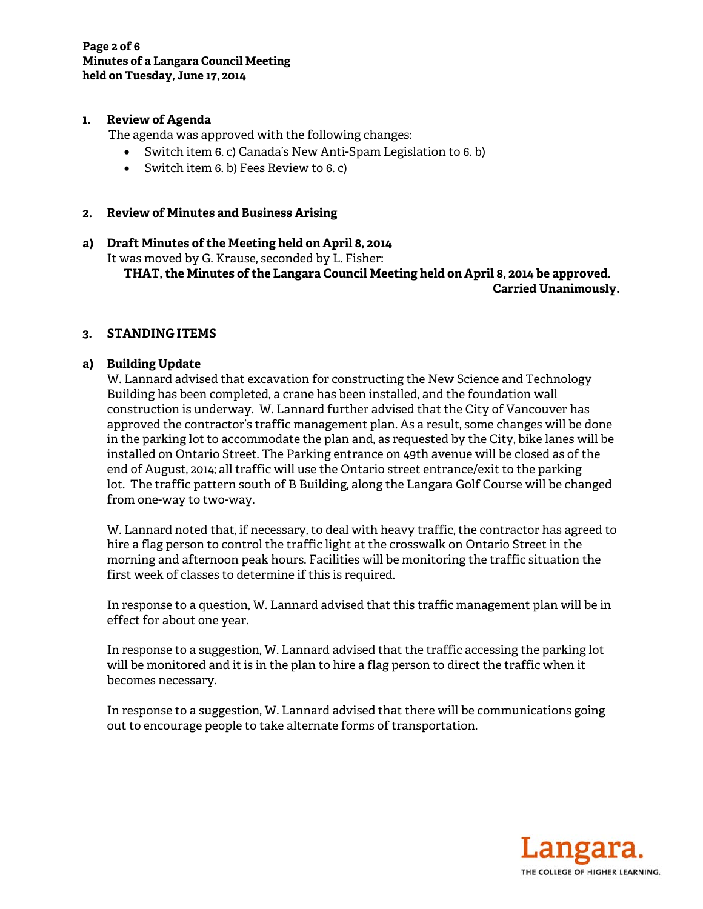### **1. Review of Agenda**

The agenda was approved with the following changes:

- Switch item 6. c) Canada's New Anti-Spam Legislation to 6. b)
- Switch item 6. b) Fees Review to 6. c)

### **2. Review of Minutes and Business Arising**

**a) Draft Minutes of the Meeting held on April 8, 2014**  It was moved by G. Krause, seconded by L. Fisher:  **THAT, the Minutes of the Langara Council Meeting held on April 8, 2014 be approved. Carried Unanimously.** 

## **3. STANDING ITEMS**

## **a) Building Update**

W. Lannard advised that excavation for constructing the New Science and Technology Building has been completed, a crane has been installed, and the foundation wall construction is underway. W. Lannard further advised that the City of Vancouver has approved the contractor's traffic management plan. As a result, some changes will be done in the parking lot to accommodate the plan and, as requested by the City, bike lanes will be installed on Ontario Street. The Parking entrance on 49th avenue will be closed as of the end of August, 2014; all traffic will use the Ontario street entrance/exit to the parking lot. The traffic pattern south of B Building, along the Langara Golf Course will be changed from one-way to two-way.

W. Lannard noted that, if necessary, to deal with heavy traffic, the contractor has agreed to hire a flag person to control the traffic light at the crosswalk on Ontario Street in the morning and afternoon peak hours. Facilities will be monitoring the traffic situation the first week of classes to determine if this is required.

In response to a question, W. Lannard advised that this traffic management plan will be in effect for about one year.

In response to a suggestion, W. Lannard advised that the traffic accessing the parking lot will be monitored and it is in the plan to hire a flag person to direct the traffic when it becomes necessary.

In response to a suggestion, W. Lannard advised that there will be communications going out to encourage people to take alternate forms of transportation.

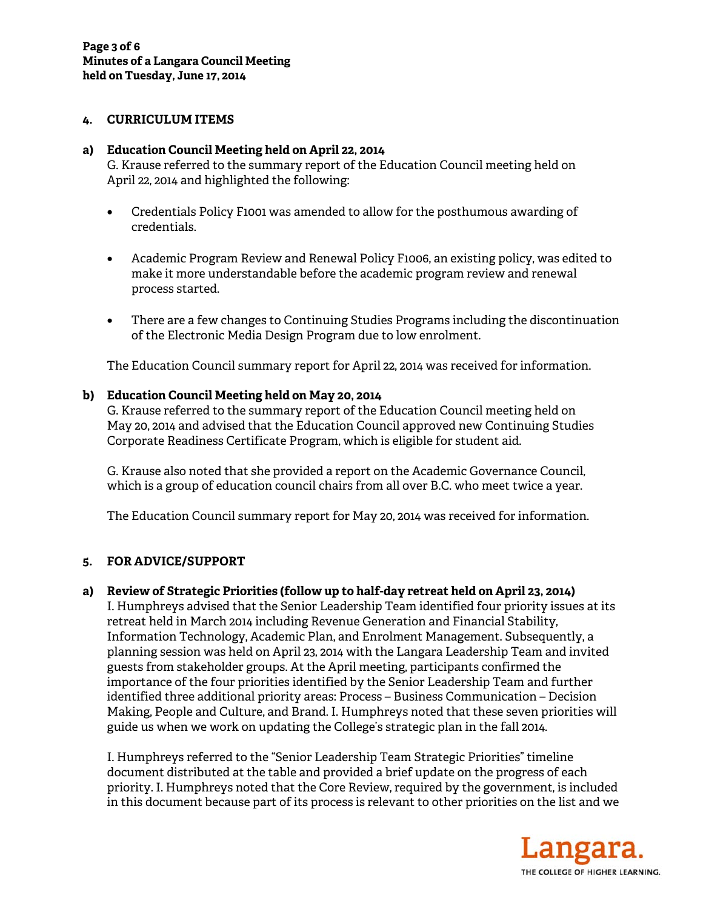## **4. CURRICULUM ITEMS**

#### **a) Education Council Meeting held on April 22, 2014**

G. Krause referred to the summary report of the Education Council meeting held on April 22, 2014 and highlighted the following:

- Credentials Policy F1001 was amended to allow for the posthumous awarding of credentials.
- Academic Program Review and Renewal Policy F1006, an existing policy, was edited to make it more understandable before the academic program review and renewal process started.
- There are a few changes to Continuing Studies Programs including the discontinuation of the Electronic Media Design Program due to low enrolment.

The Education Council summary report for April 22, 2014 was received for information.

## **b) Education Council Meeting held on May 20, 2014**

G. Krause referred to the summary report of the Education Council meeting held on May 20, 2014 and advised that the Education Council approved new Continuing Studies Corporate Readiness Certificate Program, which is eligible for student aid.

G. Krause also noted that she provided a report on the Academic Governance Council, which is a group of education council chairs from all over B.C. who meet twice a year.

The Education Council summary report for May 20, 2014 was received for information.

# **5. FOR ADVICE/SUPPORT**

#### **a) Review of Strategic Priorities (follow up to half-day retreat held on April 23, 2014)**

I. Humphreys advised that the Senior Leadership Team identified four priority issues at its retreat held in March 2014 including Revenue Generation and Financial Stability, Information Technology, Academic Plan, and Enrolment Management. Subsequently, a planning session was held on April 23, 2014 with the Langara Leadership Team and invited guests from stakeholder groups. At the April meeting, participants confirmed the importance of the four priorities identified by the Senior Leadership Team and further identified three additional priority areas: Process – Business Communication – Decision Making, People and Culture, and Brand. I. Humphreys noted that these seven priorities will guide us when we work on updating the College's strategic plan in the fall 2014.

I. Humphreys referred to the "Senior Leadership Team Strategic Priorities" timeline document distributed at the table and provided a brief update on the progress of each priority. I. Humphreys noted that the Core Review, required by the government, is included in this document because part of its process is relevant to other priorities on the list and we

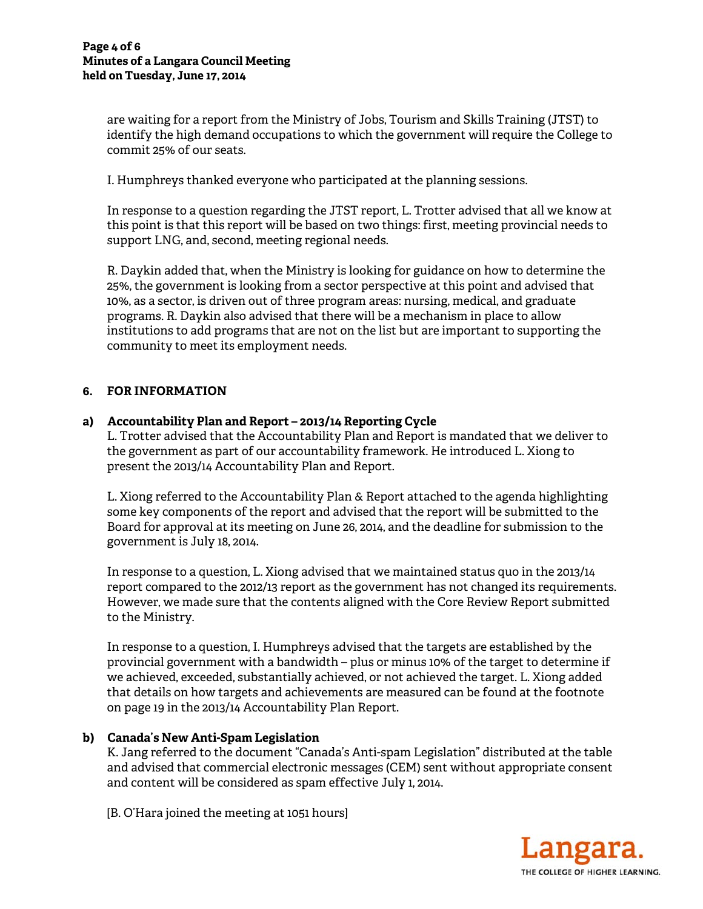are waiting for a report from the Ministry of Jobs, Tourism and Skills Training (JTST) to identify the high demand occupations to which the government will require the College to commit 25% of our seats.

I. Humphreys thanked everyone who participated at the planning sessions.

In response to a question regarding the JTST report, L. Trotter advised that all we know at this point is that this report will be based on two things: first, meeting provincial needs to support LNG, and, second, meeting regional needs.

R. Daykin added that, when the Ministry is looking for guidance on how to determine the 25%, the government is looking from a sector perspective at this point and advised that 10%, as a sector, is driven out of three program areas: nursing, medical, and graduate programs. R. Daykin also advised that there will be a mechanism in place to allow institutions to add programs that are not on the list but are important to supporting the community to meet its employment needs.

# **6. FOR INFORMATION**

# **a) Accountability Plan and Report – 2013/14 Reporting Cycle**

L. Trotter advised that the Accountability Plan and Report is mandated that we deliver to the government as part of our accountability framework. He introduced L. Xiong to present the 2013/14 Accountability Plan and Report.

L. Xiong referred to the Accountability Plan & Report attached to the agenda highlighting some key components of the report and advised that the report will be submitted to the Board for approval at its meeting on June 26, 2014, and the deadline for submission to the government is July 18, 2014.

In response to a question, L. Xiong advised that we maintained status quo in the 2013/14 report compared to the 2012/13 report as the government has not changed its requirements. However, we made sure that the contents aligned with the Core Review Report submitted to the Ministry.

In response to a question, I. Humphreys advised that the targets are established by the provincial government with a bandwidth – plus or minus 10% of the target to determine if we achieved, exceeded, substantially achieved, or not achieved the target. L. Xiong added that details on how targets and achievements are measured can be found at the footnote on page 19 in the 2013/14 Accountability Plan Report.

# **b) Canada's New Anti-Spam Legislation**

K. Jang referred to the document "Canada's Anti-spam Legislation" distributed at the table and advised that commercial electronic messages (CEM) sent without appropriate consent and content will be considered as spam effective July 1, 2014.

[B. O'Hara joined the meeting at 1051 hours]

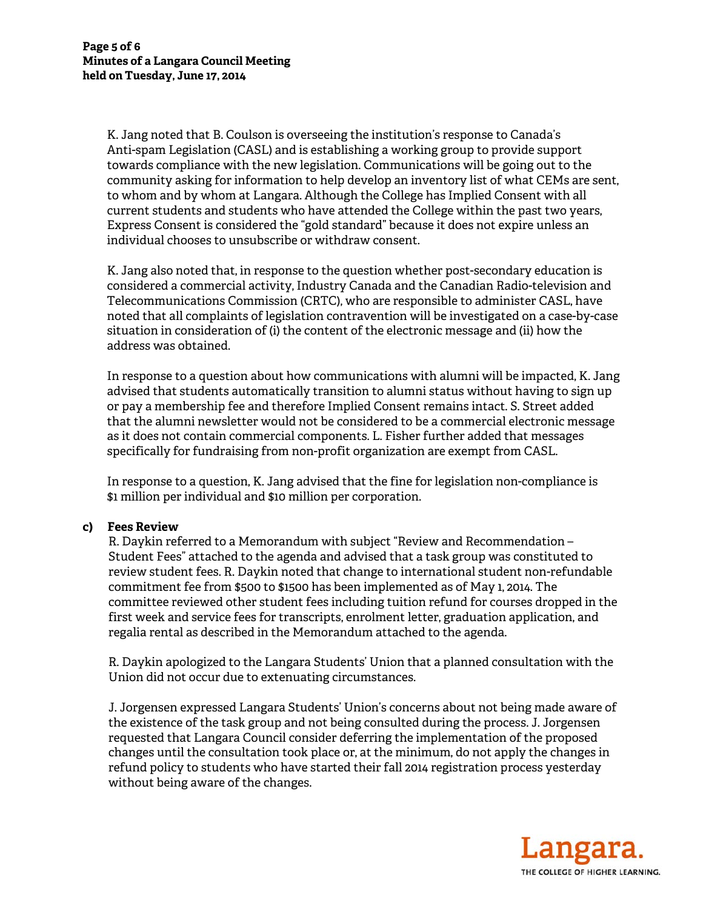K. Jang noted that B. Coulson is overseeing the institution's response to Canada's Anti-spam Legislation (CASL) and is establishing a working group to provide support towards compliance with the new legislation. Communications will be going out to the community asking for information to help develop an inventory list of what CEMs are sent, to whom and by whom at Langara. Although the College has Implied Consent with all current students and students who have attended the College within the past two years, Express Consent is considered the "gold standard" because it does not expire unless an individual chooses to unsubscribe or withdraw consent.

K. Jang also noted that, in response to the question whether post-secondary education is considered a commercial activity, Industry Canada and the Canadian Radio-television and Telecommunications Commission (CRTC), who are responsible to administer CASL, have noted that all complaints of legislation contravention will be investigated on a case-by-case situation in consideration of (i) the content of the electronic message and (ii) how the address was obtained.

In response to a question about how communications with alumni will be impacted, K. Jang advised that students automatically transition to alumni status without having to sign up or pay a membership fee and therefore Implied Consent remains intact. S. Street added that the alumni newsletter would not be considered to be a commercial electronic message as it does not contain commercial components. L. Fisher further added that messages specifically for fundraising from non-profit organization are exempt from CASL.

In response to a question, K. Jang advised that the fine for legislation non-compliance is \$1 million per individual and \$10 million per corporation.

#### **c) Fees Review**

R. Daykin referred to a Memorandum with subject "Review and Recommendation – Student Fees" attached to the agenda and advised that a task group was constituted to review student fees. R. Daykin noted that change to international student non-refundable commitment fee from \$500 to \$1500 has been implemented as of May 1, 2014. The committee reviewed other student fees including tuition refund for courses dropped in the first week and service fees for transcripts, enrolment letter, graduation application, and regalia rental as described in the Memorandum attached to the agenda.

R. Daykin apologized to the Langara Students' Union that a planned consultation with the Union did not occur due to extenuating circumstances.

J. Jorgensen expressed Langara Students' Union's concerns about not being made aware of the existence of the task group and not being consulted during the process. J. Jorgensen requested that Langara Council consider deferring the implementation of the proposed changes until the consultation took place or, at the minimum, do not apply the changes in refund policy to students who have started their fall 2014 registration process yesterday without being aware of the changes.